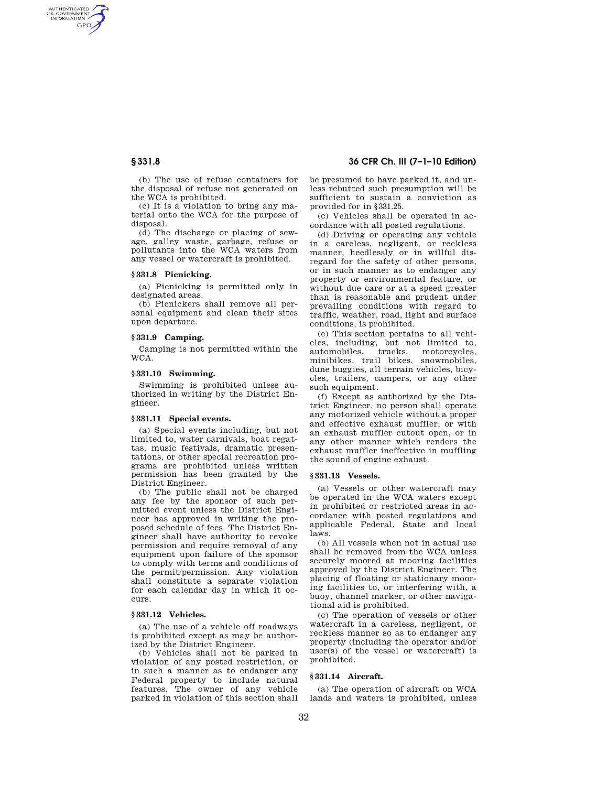AUTHENTICATED<br>U.S. GOVERNMENT<br>INFORMATION **GPO** 

> (b) The use of refuse containers for the disposal of refuse not generated on the WCA is prohibited.

> (c) It is a violation to bring any material onto the WCA for the purpose of disposal.

> (d) The discharge or placing of sewage, galley waste, garbage, refuse or pollutants into the WCA waters from any vessel or watercraft is prohibited.

# **§ 331.8 Picnicking.**

(a) Picnicking is permitted only in designated areas.

(b) Picnickers shall remove all personal equipment and clean their sites upon departure.

# **§ 331.9 Camping.**

Camping is not permitted within the WCA.

#### **§ 331.10 Swimming.**

Swimming is prohibited unless authorized in writing by the District Engineer.

## **§ 331.11 Special events.**

(a) Special events including, but not limited to, water carnivals, boat regattas, music festivals, dramatic presentations, or other special recreation programs are prohibited unless written permission has been granted by the District Engineer.

(b) The public shall not be charged any fee by the sponsor of such permitted event unless the District Engineer has approved in writing the proposed schedule of fees. The District Engineer shall have authority to revoke permission and require removal of any equipment upon failure of the sponsor to comply with terms and conditions of the permit/permission. Any violation shall constitute a separate violation for each calendar day in which it occurs.

## **§ 331.12 Vehicles.**

(a) The use of a vehicle off roadways is prohibited except as may be authorized by the District Engineer.

(b) Vehicles shall not be parked in violation of any posted restriction, or in such a manner as to endanger any Federal property to include natural features. The owner of any vehicle parked in violation of this section shall

# **§ 331.8 36 CFR Ch. III (7–1–10 Edition)**

be presumed to have parked it, and unless rebutted such presumption will be sufficient to sustain a conviction as provided for in §331.25.

(c) Vehicles shall be operated in accordance with all posted regulations.

(d) Driving or operating any vehicle in a careless, negligent, or reckless manner, heedlessly or in willful disregard for the safety of other persons, or in such manner as to endanger any property or environmental feature, or without due care or at a speed greater than is reasonable and prudent under prevailing conditions with regard to traffic, weather, road, light and surface conditions, is prohibited.

(e) This section pertains to all vehicles, including, but not limited to, automobiles, trucks, motorcycles, minibikes, trail bikes, snowmobiles, dune buggies, all terrain vehicles, bicycles, trailers, campers, or any other such equipment.

(f) Except as authorized by the District Engineer, no person shall operate any motorized vehicle without a proper and effective exhaust muffler, or with an exhaust muffler cutout open, or in any other manner which renders the exhaust muffler ineffective in muffling the sound of engine exhaust.

### **§ 331.13 Vessels.**

(a) Vessels or other watercraft may be operated in the WCA waters except in prohibited or restricted areas in accordance with posted regulations and applicable Federal, State and local laws.

(b) All vessels when not in actual use shall be removed from the WCA unless securely moored at mooring facilities approved by the District Engineer. The placing of floating or stationary mooring facilities to, or interfering with, a buoy, channel marker, or other navigational aid is prohibited.

(c) The operation of vessels or other watercraft in a careless, negligent, or reckless manner so as to endanger any property (including the operator and/or user(s) of the vessel or watercraft) is prohibited.

## **§ 331.14 Aircraft.**

(a) The operation of aircraft on WCA lands and waters is prohibited, unless